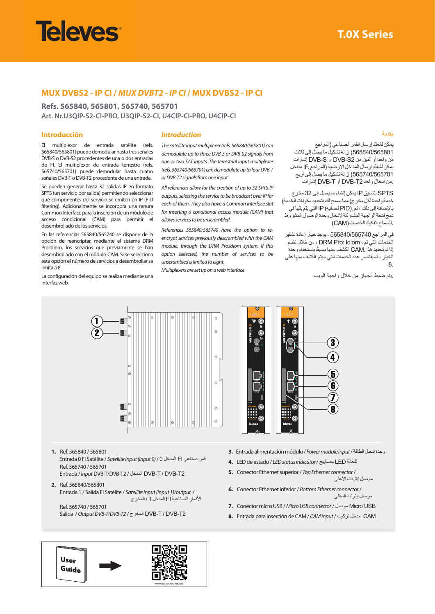# **Televes**

## **MUX DVBS2 - IP CI /** *MUX DVBT2 - IP CI* **/ MUX DVBS2 - IP CI**

**Refs. 565840, 565801, 565740, 565701 Art. Nr.U3QIP-S2-CI-PRO, U3QIP-S2-CI, U4CIP-CI-PRO, U4CIP-CI**

#### **Introducción**

El multiplexor de entrada satélite (refs. 565840/565801) puede demodular hasta tres señales DVB-S o DVB-S2 procedentes de una o dos entradas de FI. El multiplexor de entrada terrestre (refs. 565740/565701) puede demodular hasta cuatro señales DVB-T o DVB-T2 procedente de una entrada.

Se pueden generar hasta 32 salidas IP en formato SPTS (un servicio por salida) permitiendo seleccionar qué componentes del servicio se emiten en IP (PID filtering). Adicionalmente se incorpora una ranura Common Interface para la inserción de un módulo de acceso condicional (CAM) para permitir el desembrollado de los servicios.

En las referencias 565840/565740 se dispone de la opción de reencriptar, mediante el sistema DRM Pro:Idiom, los servicios que previamente se han desembrollado con el módulo CAM. Si se selecciona esta opción el número de servicios a desembrollar se limita a 8.

La configuración del equipo se realiza mediante una interfaz web.

#### *Introduction*

*The satellite input multiplexer (refs. 565840/565801) can demodulate up to three DVB-S or DVB-S2 signals from one or two SAT inputs. The terrestrial input multiplexer (refs. 565740/565701) can demodulate up to four DVB-T or DVB-T2 signals from one input.*

*All references allow for the creation of up to 32 SPTS IP outputs, selecting the service to be broadcast over IP for each of them. They also have a Common Interface slot for inserting a conditional access module (CAM) that allows services to be unscrambled.*

*References 565840/565740 have the option to reencrypt services previously descrambled with the CAM module, through the DRM Pro:Idiom system. If this option iselected, the number of services to be unscrambled is limited to eight.*

*Multiplexers are set up on a web interface*.

**مقدمة**

يمكن لمُعدِّد إرسال القمر الصناعي (المراجع 565840/565801( إزالة تشكيل ما يصل إلى ثالث من واحد أو اثنين من 2S-DVB أو S-DVB إشارات بمكن لمُعَدِّد إرسال المداخل الأرضية (المراجع IF مداخل 565740/565701( إزالة تشكيل ما يصل إلى أربع .من إدخال واحد 2T-DVB أو T-DVB إشارات

 SPTS بتنسيق IP يمكن إنشاء ما يصل إلى 32 مخرج خدمة واحدة لكل مخرج) مما يسمح لك بتحديد مكونات الخدمة) باإلضافة إلى ذلك ، تم .(PID تصفية) IP التي يتم بثها في دمج فتحة الواجهة المشتركة إلدخال وحدة الوصول المشروط .للسماح بتفكيك الخدمات(CAM(

في المراجع 565840/565740 ، يوجد خيار إعادة تشفير الخدمات التي تم ، Idiom :Pro DRM ، من خالل نظام ًا باستخدام وحدة إذا تم تحديد هذا .CAM الكشف عنها مسبق الخيار ، فسيقتصر عدد الخدمات التي سيتم الكشف منها على 8.

.يتم ضبط الجهاز من خالل واجهة الويب



**1.** Ref. 565840 / 565801 Entrada 0 FI Satélite / *Satellite input (input 0)* / 0 المدخل FI صناعي قمر Ref. 565740 / 565701

Entrada / *Input* DVB-T/DVB-T2 / المدخل DVB-T / DVB-T2

- **2.** Ref. 565840/565801 Entrada 1 / Salida FI Satélite / *Satellite input (input 1)/output* / األقمار الصناعية FI المدخل 1 / المخرج
	- Ref. 565740 / 565701 Salida / *Output DVB-T/DVB-T2* / المخرج DVB-T / DVB-T2



- **3.** Entrada alimentación módulo / *Power module input* /الطاقة إدخال وحدة
- **4.** LED de estado / *LED status indicator* / مصابيح LED للحالة
- **5.** Conector Ethernet superior / *Top Ethernet connector* / موصل إيثرنت الأعلى
- **6.** Conector Ethernet inferior / *Bottom Ethernet connector* / موصل إيثرنت السفلي
- **7.** Conector micro USB / *Micro USB connector* / موصل Micro USB
- **8.** Entrada para inserción de CAM / *CAM input* / تركيب مدخل CAM

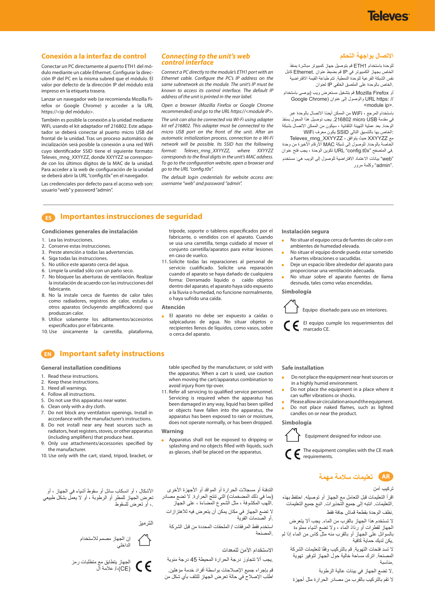## **Televes**

## **Conexión a la interfaz de control**

Conectar un PC directamente al puerto ETH1 del módulo mediante un cable Ethernet. Configurar la dirección IP del PC en la misma subred que el módulo. El valor por defecto de la dirección IP del módulo está impreso en la etiqueta trasera.

Lanzar un navegador web (se recomienda Mozilla Firefox or Google Chrome) y acceder a la URL https://<ip del módulo>.

También es posible la conexión a la unidad mediante WiFi, usando el kit adaptador ref 216802. Este adapatador se deberá conectar al puerto micro USB del frontal de la unidad. Tras un proceso automático de incialización será posible la conexión a una red WiFi cuyo identificador SSID tiene el siguiente formato: Televes\_mng\_XXYYZZ, donde XXYYZZ se corresponde con los últimos dígitos de la MAC de la unidad. Para acceder a la web de configuración de la unidad se deberá abrir la URL "config.t0x" en el navegador.

Las credenciales por defecto para el acceso web son: usuario "web" y password "admin".

#### *Connecting to the unit's web control interface*

*Connect a PC directly to the module's ETH1 port with an Ethernet cable. Configure the PC's IP address on the same subnetwork as the module. The unit's IP must be known to access its control interface. The default IP address of the unit is printed in the rear label.*

*Open a browser (Mozilla Firefox or Google Chrome recommended) and go to the URL https://<module IP>.*

*The unit can also be connected via Wi-Fi using adapter kit ref 216802. This adapter must be connected to the micro USB port on the front of the unit. After an automatic initialization process, connection to a Wi-Fi network will be possible. Its SSID has the following format: Televes\_mng\_XXYYZZ, where XXYYZZ corresponds to the final digits in the unit's MAC address. To go to the configuration website, open a browser and go to the URL "config.t0x".*

*The default login credentials for website access are: username "web" and password "admin".*

### **االتصال بواجهة التحكم**

للوحدة باستخدام 1ETH قم بتوصيل جهاز كمبيوتر مباشرة بمنفذ الخاص بجهاز الكمبيوتر في IP قم بضبط عنوان .Ethernet كابل نفس الشبكة الفرعية للوحدة النمطية. تتم طباعة القيمة االفتراضية .الخاص بالوحدة على الملصق الخلفي IP لعنوان

أو Firefox Mozilla قم بتشغيل مستعرض ويب )يوصى باستخدام Google Chrome) عنوان إلى والوصول URL https: // <module ip>.

باستخدام المرجع ، WiFi ً من الممكن أيضا االتصال بالوحدة عبر في مقدمة USB micro .216802 يجب توصيل هذا المحول بمنفذ الوحدة. بعد عملية التهيئة التلقائية ، سيكون من الممكن االتصال بشبكة :الخاص بها بالتنسيق التالي SSID يكون معرف WiFi Televes\_mng\_XXYYZZ ، يتوافق حيث XXYYZZ مع الخاصة بالوحدة. للوصول إلى شبكة MAC الأرقام الأخيرة من وحدة .في المتصفح "x0t.config "URL تكوين الوحدة ، يجب فتح عنوان "web "بيانات االعتماد االفتراضية للوصول إلى الويب هي: مستخدم ."admin "وكلمة مرور

## **ES Importantes instrucciones de seguridad**

**Condiciones generales de instalación** 

- 1. Lea las instrucciones.
- 2. Conserve estas instrucciones.
- 3. Preste atención a todas las advertencias.
- 4. Siga todas las instrucciones.
- 5. No utilice este aparato cerca del agua. 6. Limpie la unidad sólo con un paño seco.
- 7. No bloquee las aberturas de ventilación. Realizar
- la instalación de acuerdo con las instrucciones del fabricante.
- 8. No la instale cerca de fuentes de calor tales como radiadores, registros de calor, estufas u otros aparatos (incluyendo amplificadores) que produzcan calor.
- 9. Utilice solamente los aditamentos/accesorios especificados por el fabricante.
- 10. Use únicamente la carretilla, plataforma,

trípode, soporte o tableros especificados por el fabricante, o vendidos con el aparato. Cuando se usa una carretilla, tenga cuidado al mover el conjunto carretilla/aparatos para evitar lesiones en caso de vuelco.

11. Solicite todas las reparaciones al personal de servicio cualificado. Solicite una reparación cuando el aparato se haya dañado de cualquiera forma: Derramado líquido o caído objetos dentro del aparato, el aparato haya sido expuesto a la lluvia o humedad, no funcione normalmente, o haya sufrido una caída.

#### **Atención**

 El aparato no debe ser expuesto a caídas o salpicaduras de agua. No situar objetos o recipientes llenos de líquidos, como vasos, sobre o cerca del aparato.

**Instalación segura** 

- No situar el equipo cerca de fuentes de calor o en ambientes de humedad elevada.
- No situar el equipo donde pueda estar sometido a fuertes vibraciones o sacudidas.
- Deje un espacio libre alrededor del aparato para proporcionar una ventilación adecuada.
- No situar sobre el aparato fuentes de llama desnuda, tales como velas encendidas.

#### **Simbología**



 El equipo cumple los requerimientos del marcado CE.

## **EN Important safety instructions**

**General installation conditions**

- 1. Read these instructions.
- 2. Keep these instructions.
- 3. Heed all warnings.
- 4. Follow all instructions.
- 5. Do not use this apparatus near water.
- 6. Clean only with a dry cloth.
- 7. Do not block any ventilation openings. Install in accordance with the manufacturer's instructions.
- 8. Do not install near any heat sources such as radiators, heat registers, stoves, or other apparatus (including amplifiers) that produce heat.
- 9. Only use attachments/accessories specified by the manufacturer.
- 10. Use only with the cart, stand, tripod, bracket, or

األشكال ، أو انسكاب سائل أو سقوط أشياء في الجهاز ، أو تعرض الجهاز للمطر أو الرطوبة ، أو ال يعمل بشكل طبيعي ،. أو تعرض للسقوط

**الترميز**



الجهاز يتطابق مع متطلبات رمز (CE)-/ علامة ال table specified by the manufacturer, or sold with the apparatus. When a cart is used, use caution when moving the cart/apparatus combination to avoid injury from tip-over.

11. Refer all servicing to qualified service personnel. Servicing is required when the apparatus has been damaged in any way, liquid has been spilled or objects have fallen into the apparatus, the apparatus has been exposed to rain or moisture, does not operate normally, or has been dropped.

#### **Warning**

 Apparatus shall not be exposed to dripping or splashing and no objects filled with liquids, such as glasses, shall be placed on the apparatus.

التدفئة أو مسجالت الحرارة أو المواقد أو األجهزة األخرى )بما في ذلك المضخمات( التي تنتج الحرارة. ال تضع مصادر .اللهب المكشوفة ، مثل الشموع المضاءة ، على الجهاز

ال تضع الجهاز في مكان يمكن أن يتعرض فيه لالهتزازات .أو الصدمات القوية

استخدم فقط المرفقات / الملحقات المحددة من قبل الشركة .المصنعة

#### **االستخدام اآلمن للمعدات**

.يجب أال تتجاوز درجة الحرارة المحيطة 45 درجة مئوية

قم بإجراء جميع اإلصالحات بواسطة أفراد خدمة مؤهلين. اطلب اإلصالح في حالة تعرض الجهاز للتلف بأي شكل من

#### **Safe installation**

- Do not place the equipment near heat sources or in a highly humid environment.
- Do not place the equipment in a place where it can suffer vibrations or shocks.
- Please allow air circulation around the equipment. Do not place naked flames, such as lighted
- candles on or near the product. **Simbología**

Equipment designed for indoor use.

 The equipment complies with the CE mark  $\mathbf{\mathsf{C}} \mathbf{\mathsf{F}}$  requirements.



#### **تركيب آمن**

اقرأ التعليمات قبل التعامل مع الجهاز أو توصيله. احتفظ بهذه .التعليمات. انتبه إلى جميع التحذيرات. اتبع جميع التعليمات .نظف الوحدة بقطعة قماش جافة فقط

ال تستخدم هذا الجهاز بالقرب من الماء. يجب أال يتعرض الجهاز لقطرات أو رذاذ الماء ، وال تضع أشياء مملوءة بالسوائل على الجهاز أو بالقرب منه مثل كاس من الماء إذا لم .يكن لديك حماية كافية

لا تسد فتحات التهوية. قم بالتركيب وفقًا لتعليمات الشركة المصنعة. اترك مساحة خالية حول الجهاز لتوفير تهوية .مناسبة

.ال تضع الجهاز في بيئات عالية الرطوبة

ال تقم بالتركيب بالقرب من مصادر الحرارة مثل أجهزة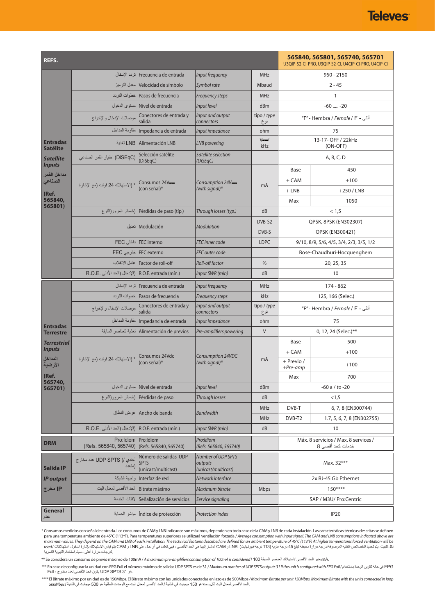| REFS.                                                                                                                            |                                                             |                                                             |                                       |                    | 565840, 565801, 565740, 565701<br>U3QIP-S2-CI-PRO, U3QIP-S2-CI, U4CIP-CI-PRO, U4CIP-CI |                            |  |
|----------------------------------------------------------------------------------------------------------------------------------|-------------------------------------------------------------|-------------------------------------------------------------|---------------------------------------|--------------------|----------------------------------------------------------------------------------------|----------------------------|--|
| <b>Entradas</b><br><b>Satélite</b><br><b>Satellite</b><br><b>Inputs</b><br>مداخل القمر<br>الصناعى<br>(Ref.<br>565840,<br>565801) |                                                             | Frecuencia de entrada أنر دد الإدخال                        | Input frequency                       | <b>MHz</b>         | $950 - 2150$                                                                           |                            |  |
|                                                                                                                                  |                                                             | Velocidad de símbolo  معدل الترميز                          | Symbol rate                           | Mbaud              | $2 - 45$                                                                               |                            |  |
|                                                                                                                                  |                                                             | Pasos de frecuencia  خطوات التردد                           | <b>Frequency steps</b>                | <b>MHz</b>         | 1                                                                                      |                            |  |
|                                                                                                                                  |                                                             | Nivel de entrada   مستوى الدخول                             | Input level                           | dBm                | $-60$ $-20$                                                                            |                            |  |
|                                                                                                                                  | موصلات الإدخال والإخراج                                     | Conectores de entrada y<br>salida                           | Input and output<br>connectors        | tipo / type<br>نوع | أنثى - F" - Hembra / <i>Female</i> / F"                                                |                            |  |
|                                                                                                                                  |                                                             | Impedancia de entrada  مقاومة المداخل                       | Input impedance                       | ohm                | 75                                                                                     |                            |  |
|                                                                                                                                  |                                                             | LNB Alimentación LNB                                        | <b>LNB</b> powering                   | $V =$ /<br>kHz     | 13-17- OFF / 22kHz<br>(ON-OFF)                                                         |                            |  |
|                                                                                                                                  | (DiSEqC) اختيار القمر الصناعي                               | Selección satélite<br>(DiSEqC)                              | Satellite selection<br>(DiSEqC)       |                    | A, B, C, D                                                                             |                            |  |
|                                                                                                                                  | * (الاستهلاك 24 فولت (مع الإشارة                            | Consumos 24V-<br>(con señal)*                               | Consumption 24V-<br>(with signal) $*$ | mA                 | Base                                                                                   | 450                        |  |
|                                                                                                                                  |                                                             |                                                             |                                       |                    | + CAM                                                                                  | $+100$                     |  |
|                                                                                                                                  |                                                             |                                                             |                                       |                    | $+$ LNB                                                                                | $+250$ / LNB               |  |
|                                                                                                                                  |                                                             |                                                             |                                       |                    | Max                                                                                    | 1050                       |  |
|                                                                                                                                  |                                                             | Pérdidas de paso (típ.) (خسائر المرور(النوع                 | Through losses (typ.)                 | dB                 | < 1.5                                                                                  |                            |  |
|                                                                                                                                  |                                                             | Modulación   تعدیل                                          | <b>Modulation</b>                     | DVB-S2             | QPSK, 8PSK (EN302307)                                                                  |                            |  |
|                                                                                                                                  |                                                             |                                                             |                                       | DVB-S              | QPSK (EN300421)                                                                        |                            |  |
|                                                                                                                                  |                                                             | FEC interno داخلی FEC                                       | <b>FEC</b> inner code                 | <b>LDPC</b>        | 9/10, 8/9, 5/6, 4/5, 3/4, 2/3, 3/5, 1/2                                                |                            |  |
|                                                                                                                                  |                                                             | FEC externo خارجي FEC                                       | FEC outer code                        |                    | Bose-Chaudhuri-Hocquenghem                                                             |                            |  |
|                                                                                                                                  |                                                             | Factor de roll-off   عامل الانقلاب                          | Roll-off factor                       | $\%$               |                                                                                        | 20, 25, 35                 |  |
|                                                                                                                                  | R.O.E. entrada (mín.) (الإنخال (الحد الأننى )R.O.E. entrada |                                                             | Input SWR (min)                       | dB                 | 10                                                                                     |                            |  |
|                                                                                                                                  |                                                             | Frecuencia de entrada [ تردد الإدخال                        | Input frequency                       | <b>MHz</b>         | 174 - 862                                                                              |                            |  |
|                                                                                                                                  |                                                             | Pasos de frecuencia  خطوات التردد                           | <b>Frequency steps</b>                | kHz                | 125, 166 (Selec.)<br>أنثى - F" - Hembra / Female / F"                                  |                            |  |
|                                                                                                                                  |                                                             | Conectores de entrada y   موصلات الإنخال والإخراج<br>salida | Input and output<br>connectors        | tipo / type<br>نوع |                                                                                        |                            |  |
| <b>Entradas</b><br><b>Terrestre</b>                                                                                              |                                                             | Impedancia de entrada مقاومة المداخل                        | Input impedance                       | ohm                | 75                                                                                     |                            |  |
|                                                                                                                                  |                                                             | Alimentación de previos   تغذية للعناصر السابقة             | Pre-amplifiers powering               | $\vee$             |                                                                                        | 0, 12, 24 (Selec.)**       |  |
| <b>Terrestrial</b><br><b>Inputs</b><br>المداخل<br>الأرضية<br>(Ref.<br>565740,<br>565701)                                         | * (الاستهلاك 24 فولت (مع الإشارة                            | Consumos 24Vdc<br>(con señal)*                              | Consumption 24VDC<br>(with signal)*   | mA                 | Base                                                                                   | 500                        |  |
|                                                                                                                                  |                                                             |                                                             |                                       |                    | + CAM                                                                                  | $+100$                     |  |
|                                                                                                                                  |                                                             |                                                             |                                       |                    | + Previo /<br>$+Pre-amp$                                                               | $+100$                     |  |
|                                                                                                                                  |                                                             |                                                             |                                       |                    | Max                                                                                    | 700                        |  |
|                                                                                                                                  |                                                             | Nivel de entrada   مستوى الدخول                             | Input level                           | dBm                |                                                                                        | $-60$ a / to $-20$         |  |
|                                                                                                                                  |                                                             | Pérdidas de paso   (خسائر المرور(النو ع                     | Through losses                        | dB                 | < 1, 5                                                                                 |                            |  |
|                                                                                                                                  |                                                             |                                                             |                                       | <b>MHz</b>         | DVB-T                                                                                  | 6, 7, 8 (EN300744)         |  |
|                                                                                                                                  |                                                             | Ancho de banda  عرض النطاق                                  | <b>Bandwidth</b>                      | <b>MHz</b>         | DVB-T2                                                                                 | 1.7, 5, 6, 7, 8 (EN302755) |  |
|                                                                                                                                  | R.O.E. entrada (mín.) (الإدخال (الحد الأدنى )R.O.E.         |                                                             | Input SWR (min)                       | dB                 |                                                                                        | 10                         |  |
| <b>DRM</b>                                                                                                                       | Pro: Idiom<br>(Refs. 565840, 565740)                        | Pro:Idiom<br>(Refs. 565840, 565740)                         | Pro:Idiom<br>(Refs. 565840, 565740)   |                    | Máx. 8 servicios / Max. 8 services /<br>خدمات كحد أقصىي 8                              |                            |  |
|                                                                                                                                  |                                                             | Número de salidas UDP                                       | <b>Number of UDP SPTS</b>             |                    |                                                                                        |                            |  |
| <b>Salida IP</b>                                                                                                                 | أحادي /) UDP SPTS عدد مخارج<br>(متعدد                       | <b>SPTS</b><br>(unicast/multicast)                          | outputs<br>(unicast/multicast)        |                    | Max. 32***                                                                             |                            |  |
| <b>IP output</b>                                                                                                                 | واجهة الشبكة                                                | Interfaz de red                                             | Network interface                     |                    | 2x RJ-45 Gb Ethernet                                                                   |                            |  |
| IP مخرج                                                                                                                          | الحد الأقصبي لمعدل البت                                     | Bitrate máximo                                              | Maximum bitrate                       | <b>Mbps</b>        | $150***$                                                                               |                            |  |
|                                                                                                                                  |                                                             | Señalización de servicios لافتات الخدمة                     | Service signaling                     |                    | SAP / M3U/ Pro:Centric                                                                 |                            |  |
| <b>General</b><br>عام                                                                                                            |                                                             | Indice de protección   مؤشر الحماية                         | Protection index                      |                    | IP20                                                                                   |                            |  |

Consumos medidos con señal de entrada. Los consumos de CAM y LNB indicados son máximos, dependen en todo caso de la CAM y LNB de cada instalación. Las características técnicas descritas se definen para una temperatura amb

\*\* Se considera un consumo de previo máximo de 100mA / *A maximum pre-amplifiers consumption of 100mA is considered* / 100 السابقة العناصر الستهالك األقصى الحد يعتبرmA.

\*\*\* En caso de configurar la unidad con EPG Full el número máximo de salidas UDP SPTS es de 31 / *Maximum number of UDP SPTS outputs 31 if the unit is configured with EPG Full* / باستخدام الوحدة تكوين حالة في EPG .هو UDP SPTS 31 يكون الحد الأقصى لعدد مخارج ، Full

*\*\*\*\** El Bitrate máximo por unidad es de 150Mbps. El Bitrate máximo con las unidades conectadas en lazo es de 500Mbps */ Maximum Bitrate per unit 150Mbps. Maximum Bitrate with the units connected in loop*  .الحد األقصى لمعدل البت لكل وحدة هو 150 ميجابت في الثانية / الحد األقصى لمعدل البت مع الوحدات الحلقية هو 500 ميجابت في الثانية / *Mbps500*